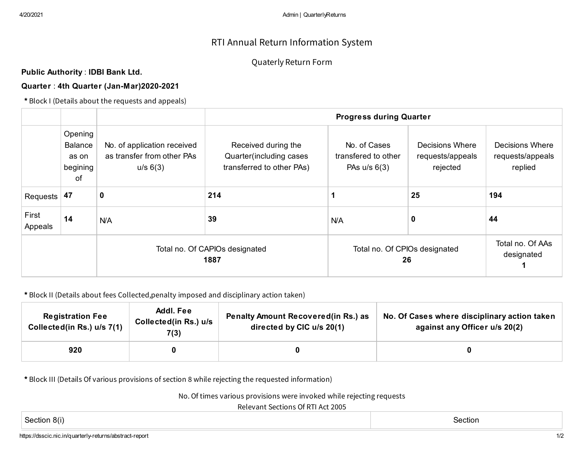# RTI Annual Return Information System

## Quaterly Return Form

**Public Authority** : **IDBI Bank Ltd.**

### **Quarter** : **4th Quarter (Jan-Mar)2020-2021**

**\*** Block I (Details about the requests and appeals)

|                  |                                                      |                                                                       | <b>Progress during Quarter</b>                                               |                                                       |                                                 |                                                       |  |  |  |
|------------------|------------------------------------------------------|-----------------------------------------------------------------------|------------------------------------------------------------------------------|-------------------------------------------------------|-------------------------------------------------|-------------------------------------------------------|--|--|--|
|                  | Opening<br><b>Balance</b><br>as on<br>begining<br>of | No. of application received<br>as transfer from other PAs<br>u/s 6(3) | Received during the<br>Quarter (including cases<br>transferred to other PAs) | No. of Cases<br>transfered to other<br>PAs $u/s$ 6(3) | Decisions Where<br>requests/appeals<br>rejected | <b>Decisions Where</b><br>requests/appeals<br>replied |  |  |  |
| Requests $ 47 $  |                                                      | 0                                                                     | 214                                                                          |                                                       | 25                                              | 194                                                   |  |  |  |
| First<br>Appeals | 14                                                   | N/A                                                                   | 39                                                                           | <b>N/A</b>                                            | 0                                               | 44                                                    |  |  |  |
|                  |                                                      | Total no. Of CAPIOs designated<br>1887                                |                                                                              | Total no. Of CPIOs designated<br>26                   | Total no. Of AAs<br>designated                  |                                                       |  |  |  |

#### **\*** Block II (Details about fees Collected,penalty imposed and disciplinary action taken)

| <b>Registration Fee</b><br>Collected(in Rs.) u/s 7(1) | Addl. Fee<br>Collected(in Rs.) u/s<br>7(3) | <b>Penalty Amount Recovered (in Rs.) as</b><br>directed by CIC u/s 20(1) | No. Of Cases where disciplinary action taken<br>against any Officer u/s 20(2) |  |  |
|-------------------------------------------------------|--------------------------------------------|--------------------------------------------------------------------------|-------------------------------------------------------------------------------|--|--|
| 920                                                   |                                            |                                                                          |                                                                               |  |  |

**\*** Block III (Details Of various provisions of section 8 while rejecting the requested information)

No. Of times various provisions were invoked while rejecting requests

Relevant Sections Of RTI Act 2005

Section 8(i) Section

https://dsscic.nic.in/quarterly-returns/abstract-report 1/2